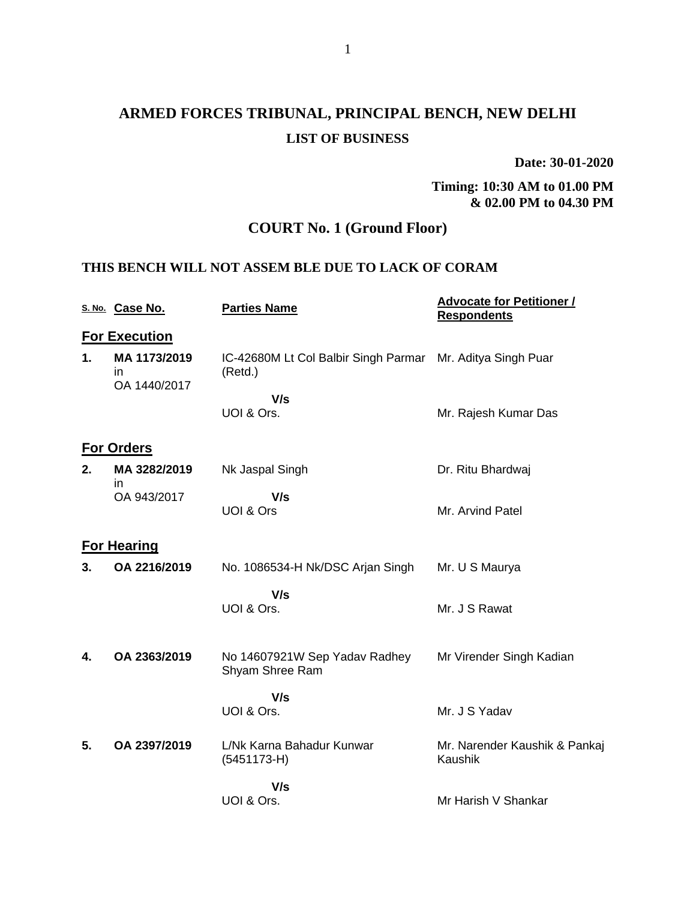# **ARMED FORCES TRIBUNAL, PRINCIPAL BENCH, NEW DELHI LIST OF BUSINESS**

**Date: 30-01-2020**

**Timing: 10:30 AM to 01.00 PM & 02.00 PM to 04.30 PM**

## **COURT No. 1 (Ground Floor)**

#### **THIS BENCH WILL NOT ASSEM BLE DUE TO LACK OF CORAM**

|    | S. No. Case No.                     | <b>Parties Name</b>                              | <b>Advocate for Petitioner /</b><br><b>Respondents</b> |
|----|-------------------------------------|--------------------------------------------------|--------------------------------------------------------|
|    | <b>For Execution</b>                |                                                  |                                                        |
| 1. | MA 1173/2019<br>in.<br>OA 1440/2017 | IC-42680M Lt Col Balbir Singh Parmar<br>(Retd.)  | Mr. Aditya Singh Puar                                  |
|    |                                     | V/s                                              |                                                        |
|    |                                     | UOI & Ors.                                       | Mr. Rajesh Kumar Das                                   |
|    | <b>For Orders</b>                   |                                                  |                                                        |
| 2. | MA 3282/2019<br>in.                 | Nk Jaspal Singh                                  | Dr. Ritu Bhardwaj                                      |
|    | OA 943/2017                         | V/s<br>UOI & Ors                                 | Mr. Arvind Patel                                       |
|    | <b>For Hearing</b>                  |                                                  |                                                        |
| 3. | OA 2216/2019                        | No. 1086534-H Nk/DSC Arjan Singh                 | Mr. U S Maurya                                         |
|    |                                     | V/s<br>UOI & Ors.                                | Mr. J S Rawat                                          |
| 4. | OA 2363/2019                        | No 14607921W Sep Yadav Radhey<br>Shyam Shree Ram | Mr Virender Singh Kadian                               |
|    |                                     | V/s<br>UOI & Ors.                                | Mr. J S Yadav                                          |
| 5. | OA 2397/2019                        | L/Nk Karna Bahadur Kunwar<br>$(5451173-H)$       | Mr. Narender Kaushik & Pankaj<br>Kaushik               |
|    |                                     | V/s                                              |                                                        |
|    |                                     | UOI & Ors.                                       | Mr Harish V Shankar                                    |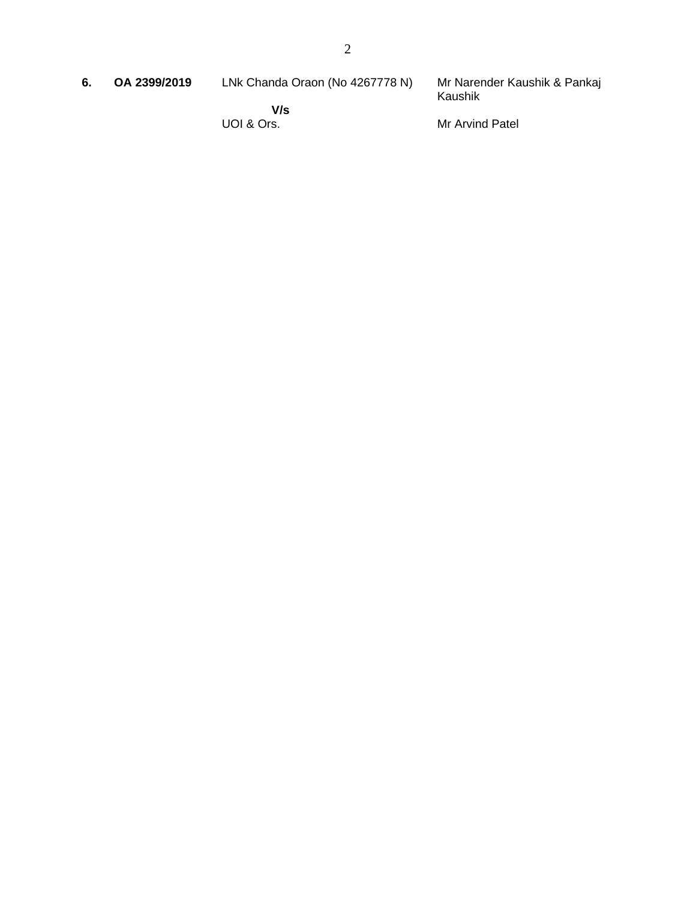Mr Narender Kaushik & Pankaj Kaushik

 **V/s** UOI & Ors.

Mr Arvind Patel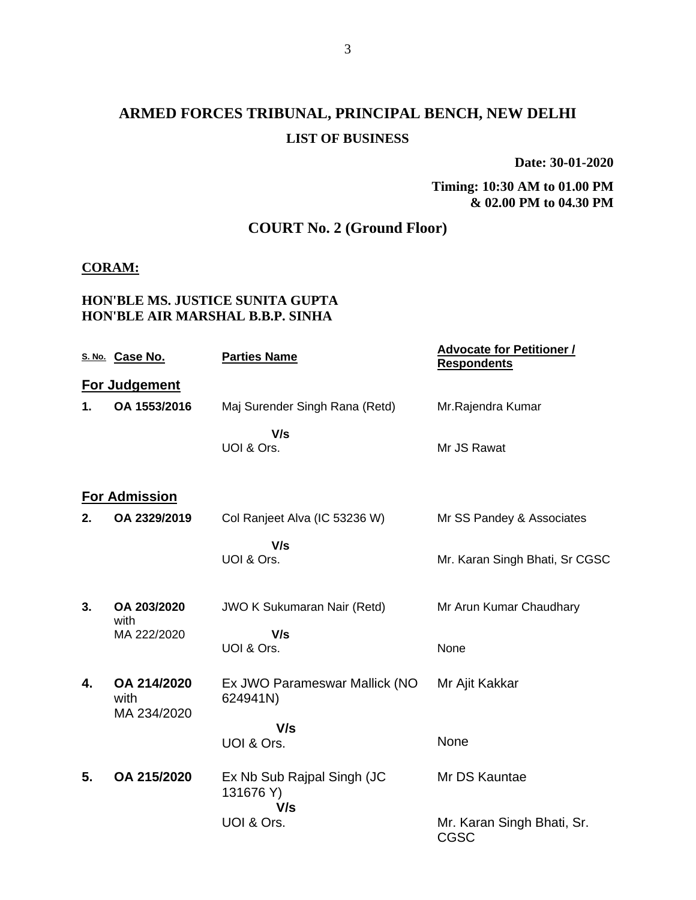# **ARMED FORCES TRIBUNAL, PRINCIPAL BENCH, NEW DELHI LIST OF BUSINESS**

**Date: 30-01-2020**

**Timing: 10:30 AM to 01.00 PM & 02.00 PM to 04.30 PM**

## **COURT No. 2 (Ground Floor)**

#### **CORAM:**

#### **HON'BLE MS. JUSTICE SUNITA GUPTA HON'BLE AIR MARSHAL B.B.P. SINHA**

|    | S. No. Case No.      | <b>Parties Name</b>                            | <b>Advocate for Petitioner /</b><br><b>Respondents</b> |
|----|----------------------|------------------------------------------------|--------------------------------------------------------|
|    | For Judgement        |                                                |                                                        |
| 1. | OA 1553/2016         | Maj Surender Singh Rana (Retd)                 | Mr.Rajendra Kumar                                      |
|    |                      | V/s<br>UOI & Ors.                              | Mr JS Rawat                                            |
|    | <b>For Admission</b> |                                                |                                                        |
| 2. | OA 2329/2019         | Col Ranjeet Alva (IC 53236 W)                  | Mr SS Pandey & Associates                              |
|    |                      | V/s<br>UOI & Ors.                              | Mr. Karan Singh Bhati, Sr CGSC                         |
| 3. | OA 203/2020<br>with  | <b>JWO K Sukumaran Nair (Retd)</b>             | Mr Arun Kumar Chaudhary                                |
|    | MA 222/2020          | V/s<br>UOI & Ors.                              | None                                                   |
| 4. | OA 214/2020<br>with  | Ex JWO Parameswar Mallick (NO<br>624941N)      | Mr Ajit Kakkar                                         |
|    | MA 234/2020          | V/s                                            |                                                        |
|    |                      | UOI & Ors.                                     | None                                                   |
| 5. | OA 215/2020          | Ex Nb Sub Rajpal Singh (JC<br>131676 Y)<br>V/s | Mr DS Kauntae                                          |
|    |                      | UOI & Ors.                                     | Mr. Karan Singh Bhati, Sr.<br><b>CGSC</b>              |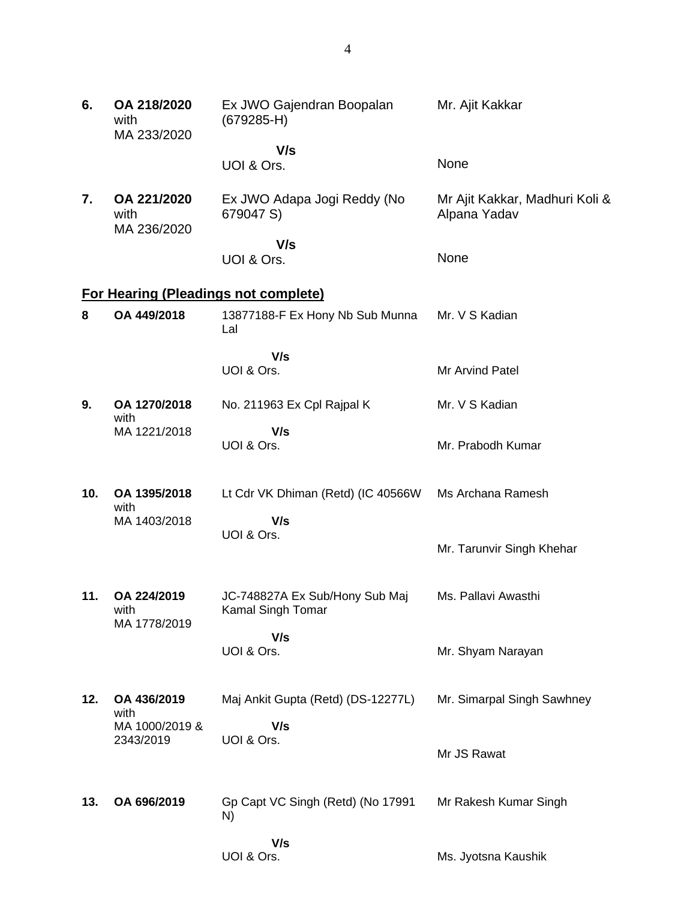| 6.  | OA 218/2020<br>with<br>MA 233/2020 | Ex JWO Gajendran Boopalan<br>$(679285-H)$           | Mr. Ajit Kakkar                                |
|-----|------------------------------------|-----------------------------------------------------|------------------------------------------------|
|     |                                    | V/s                                                 |                                                |
|     |                                    | UOI & Ors.                                          | None                                           |
| 7.  | OA 221/2020<br>with<br>MA 236/2020 | Ex JWO Adapa Jogi Reddy (No<br>679047 S)            | Mr Ajit Kakkar, Madhuri Koli &<br>Alpana Yadav |
|     |                                    | V/s                                                 |                                                |
|     |                                    | UOI & Ors.                                          | None                                           |
|     |                                    | <b>For Hearing (Pleadings not complete)</b>         |                                                |
| 8   | OA 449/2018                        | 13877188-F Ex Hony Nb Sub Munna<br>Lal              | Mr. V S Kadian                                 |
|     |                                    | V/s<br>UOI & Ors.                                   | Mr Arvind Patel                                |
| 9.  | OA 1270/2018<br>with               | No. 211963 Ex Cpl Rajpal K                          | Mr. V S Kadian                                 |
|     | MA 1221/2018                       | V/s                                                 |                                                |
|     |                                    | UOI & Ors.                                          | Mr. Prabodh Kumar                              |
| 10. | OA 1395/2018                       | Lt Cdr VK Dhiman (Retd) (IC 40566W                  | Ms Archana Ramesh                              |
|     | with                               |                                                     |                                                |
|     | MA 1403/2018                       | V/s<br>UOI & Ors.                                   |                                                |
|     |                                    |                                                     | Mr. Tarunvir Singh Khehar                      |
|     |                                    |                                                     |                                                |
| 11. | OA 224/2019<br>with                | JC-748827A Ex Sub/Hony Sub Maj<br>Kamal Singh Tomar | Ms. Pallavi Awasthi                            |
|     | MA 1778/2019                       | V/s                                                 |                                                |
|     |                                    | UOI & Ors.                                          | Mr. Shyam Narayan                              |
| 12. | OA 436/2019                        | Maj Ankit Gupta (Retd) (DS-12277L)                  | Mr. Simarpal Singh Sawhney                     |
|     | with                               |                                                     |                                                |
|     | MA 1000/2019 &                     | V/s                                                 |                                                |
|     | 2343/2019                          | UOI & Ors.                                          | Mr JS Rawat                                    |
|     |                                    |                                                     |                                                |
| 13. | OA 696/2019                        | Gp Capt VC Singh (Retd) (No 17991<br>N)             | Mr Rakesh Kumar Singh                          |
|     |                                    | V/s                                                 |                                                |
|     |                                    | UOI & Ors.                                          | Ms. Jyotsna Kaushik                            |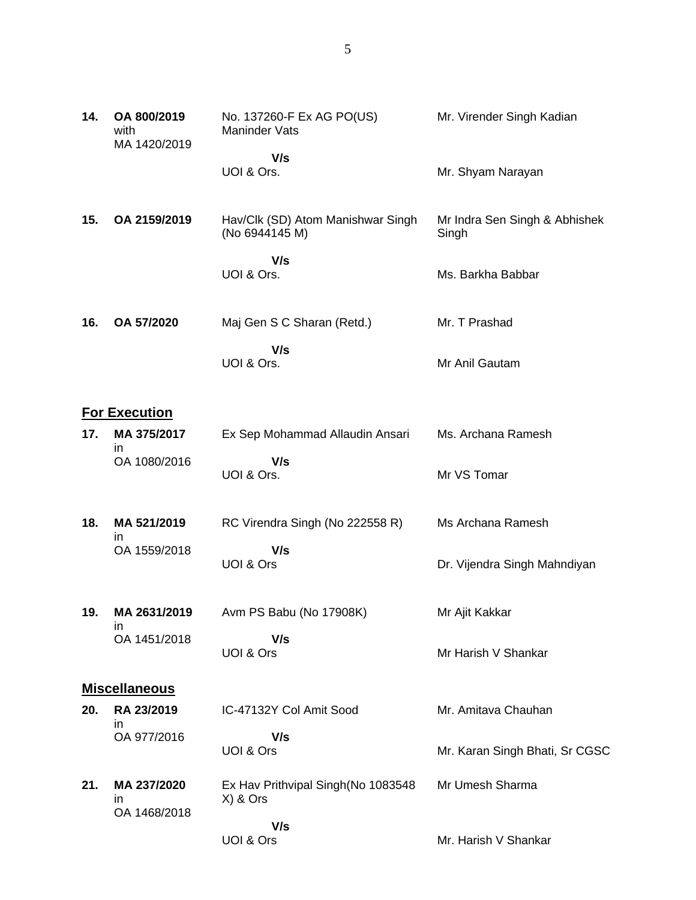| 14. | OA 800/2019<br>with<br>MA 1420/2019 | No. 137260-F Ex AG PO(US)<br><b>Maninder Vats</b>   | Mr. Virender Singh Kadian              |
|-----|-------------------------------------|-----------------------------------------------------|----------------------------------------|
|     |                                     | V/s<br>UOI & Ors.                                   | Mr. Shyam Narayan                      |
| 15. | OA 2159/2019                        | Hav/Clk (SD) Atom Manishwar Singh<br>(No 6944145 M) | Mr Indra Sen Singh & Abhishek<br>Singh |
|     |                                     | V/s<br>UOI & Ors.                                   | Ms. Barkha Babbar                      |
| 16. | OA 57/2020                          | Maj Gen S C Sharan (Retd.)                          | Mr. T Prashad                          |
|     |                                     | V/s<br>UOI & Ors.                                   | Mr Anil Gautam                         |
|     | <b>For Execution</b>                |                                                     |                                        |
| 17. | MA 375/2017                         | Ex Sep Mohammad Allaudin Ansari                     | Ms. Archana Ramesh                     |
|     | in.<br>OA 1080/2016                 | V/s<br>UOI & Ors.                                   | Mr VS Tomar                            |
| 18. | MA 521/2019<br>in                   | RC Virendra Singh (No 222558 R)                     | Ms Archana Ramesh                      |
|     | OA 1559/2018                        | V/s<br>UOI & Ors                                    | Dr. Vijendra Singh Mahndiyan           |
| 19. | MA 2631/2019                        | Avm PS Babu (No 17908K)                             | Mr Ajit Kakkar                         |
|     | in<br>OA 1451/2018                  | V/s<br>UOI & Ors                                    | Mr Harish V Shankar                    |
|     | <b>Miscellaneous</b>                |                                                     |                                        |
| 20. | RA 23/2019                          | IC-47132Y Col Amit Sood                             | Mr. Amitava Chauhan                    |
|     | ın<br>OA 977/2016                   | V/s<br>UOI & Ors                                    | Mr. Karan Singh Bhati, Sr CGSC         |
| 21. | MA 237/2020<br>in                   | Ex Hav Prithvipal Singh (No 1083548<br>X) & Ors     | Mr Umesh Sharma                        |
|     | OA 1468/2018                        | V/s<br>UOI & Ors                                    | Mr. Harish V Shankar                   |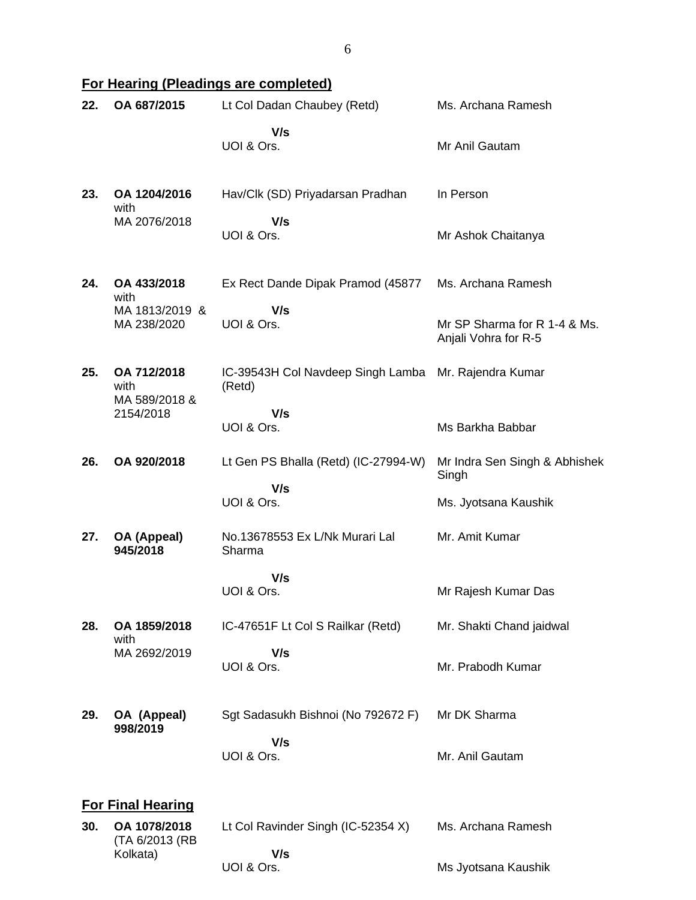# **For Hearing (Pleadings are completed)**

| 22. | OA 687/2015                          | Lt Col Dadan Chaubey (Retd)                 | Ms. Archana Ramesh                                   |  |  |
|-----|--------------------------------------|---------------------------------------------|------------------------------------------------------|--|--|
|     |                                      | V/s<br>UOI & Ors.                           | Mr Anil Gautam                                       |  |  |
| 23. | OA 1204/2016<br>with                 | Hav/Clk (SD) Priyadarsan Pradhan            | In Person                                            |  |  |
|     | MA 2076/2018                         | V/s<br>UOI & Ors.                           | Mr Ashok Chaitanya                                   |  |  |
| 24. | OA 433/2018<br>with                  | Ex Rect Dande Dipak Pramod (45877           | Ms. Archana Ramesh                                   |  |  |
|     | MA 1813/2019 &<br>MA 238/2020        | V/s<br>UOI & Ors.                           | Mr SP Sharma for R 1-4 & Ms.<br>Anjali Vohra for R-5 |  |  |
| 25. | OA 712/2018<br>with<br>MA 589/2018 & | IC-39543H Col Navdeep Singh Lamba<br>(Retd) | Mr. Rajendra Kumar                                   |  |  |
|     | 2154/2018                            | V/s<br>UOI & Ors.                           | Ms Barkha Babbar                                     |  |  |
| 26. | OA 920/2018                          | Lt Gen PS Bhalla (Retd) (IC-27994-W)        | Mr Indra Sen Singh & Abhishek<br>Singh               |  |  |
|     |                                      | V/s<br>UOI & Ors.                           | Ms. Jyotsana Kaushik                                 |  |  |
| 27. | OA (Appeal)<br>945/2018              | No.13678553 Ex L/Nk Murari Lal<br>Sharma    | Mr. Amit Kumar                                       |  |  |
|     |                                      | V/s<br>UOI & Ors.                           | Mr Rajesh Kumar Das                                  |  |  |
| 28. | OA 1859/2018<br>with                 | IC-47651F Lt Col S Railkar (Retd)           | Mr. Shakti Chand jaidwal                             |  |  |
|     | MA 2692/2019                         | V/s<br>UOI & Ors.                           | Mr. Prabodh Kumar                                    |  |  |
| 29. | OA (Appeal)<br>998/2019              | Sgt Sadasukh Bishnoi (No 792672 F)          | Mr DK Sharma                                         |  |  |
|     |                                      | V/s<br>UOI & Ors.                           | Mr. Anil Gautam                                      |  |  |
|     | <b>For Final Hearing</b>             |                                             |                                                      |  |  |
| 30. | OA 1078/2018<br>(TA 6/2013 (RB       | Lt Col Ravinder Singh (IC-52354 X)<br>V/s   | Ms. Archana Ramesh                                   |  |  |
|     | Kolkata)                             |                                             |                                                      |  |  |

UOI & Ors.

Ms Jyotsana Kaushik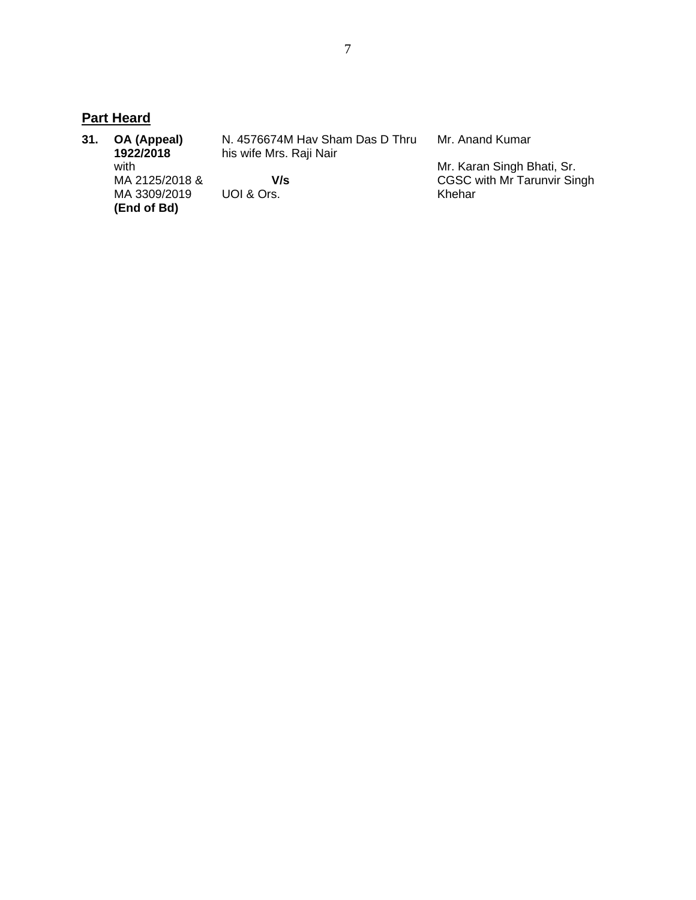### **Part Heard**

|                | N. 4576674M Hav Sham Das D Thru | Mr. Anand Kumar             |
|----------------|---------------------------------|-----------------------------|
| 1922/2018      | his wife Mrs. Raji Nair         |                             |
| with           |                                 | Mr. Karan Singh Bhati, Sr.  |
| MA 2125/2018 & | V/s                             | CGSC with Mr Tarunvir Singh |
| MA 3309/2019   | UOI & Ors.                      | Khehar                      |
| (End of Bd)    |                                 |                             |
|                | OA (Appeal)                     |                             |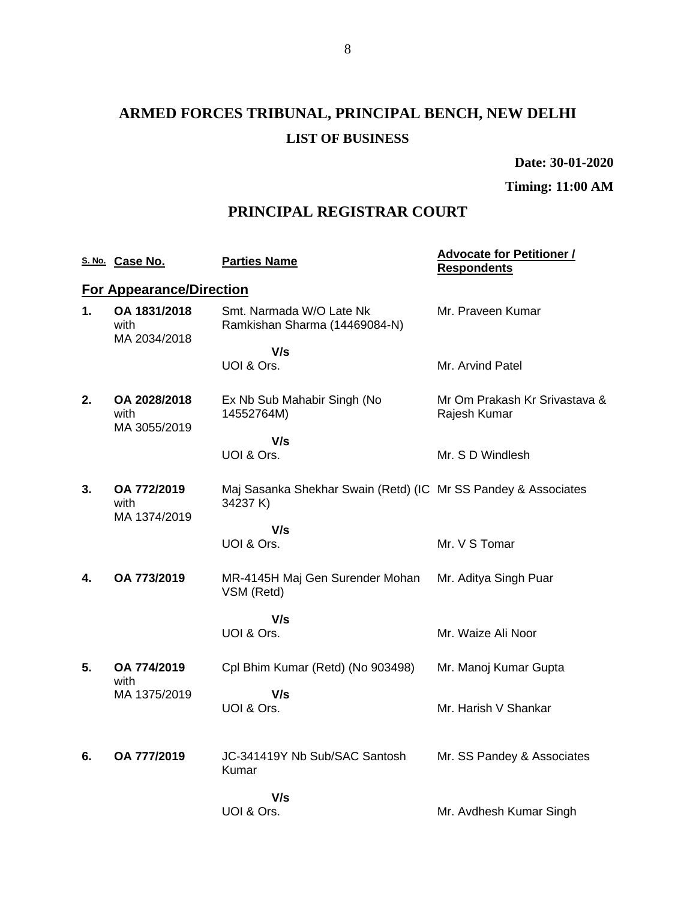# **ARMED FORCES TRIBUNAL, PRINCIPAL BENCH, NEW DELHI LIST OF BUSINESS**

**Date: 30-01-2020**

**Timing: 11:00 AM**

### **PRINCIPAL REGISTRAR COURT**

|    | S. No. Case No.                      | <b>Parties Name</b>                                                        | <b>Advocate for Petitioner /</b><br><b>Respondents</b> |
|----|--------------------------------------|----------------------------------------------------------------------------|--------------------------------------------------------|
|    | <b>For Appearance/Direction</b>      |                                                                            |                                                        |
| 1. | OA 1831/2018<br>with<br>MA 2034/2018 | Smt. Narmada W/O Late Nk<br>Ramkishan Sharma (14469084-N)                  | Mr. Praveen Kumar                                      |
|    |                                      | V/s                                                                        |                                                        |
|    |                                      | UOI & Ors.                                                                 | Mr. Arvind Patel                                       |
| 2. | OA 2028/2018<br>with<br>MA 3055/2019 | Ex Nb Sub Mahabir Singh (No<br>14552764M)                                  | Mr Om Prakash Kr Srivastava &<br>Rajesh Kumar          |
|    |                                      | V/s                                                                        |                                                        |
|    |                                      | UOI & Ors.                                                                 | Mr. S D Windlesh                                       |
| 3. | OA 772/2019<br>with<br>MA 1374/2019  | Maj Sasanka Shekhar Swain (Retd) (IC Mr SS Pandey & Associates<br>34237 K) |                                                        |
|    |                                      | V/s                                                                        |                                                        |
|    |                                      | UOI & Ors.                                                                 | Mr. V S Tomar                                          |
| 4. | OA 773/2019                          | MR-4145H Maj Gen Surender Mohan<br>VSM (Retd)                              | Mr. Aditya Singh Puar                                  |
|    |                                      | V/s                                                                        |                                                        |
|    |                                      | UOI & Ors.                                                                 | Mr. Waize Ali Noor                                     |
| 5. | OA 774/2019<br>with                  | Cpl Bhim Kumar (Retd) (No 903498)                                          | Mr. Manoj Kumar Gupta                                  |
|    | MA 1375/2019                         | V/s<br>UOI & Ors.                                                          | Mr. Harish V Shankar                                   |
| 6. | OA 777/2019                          | JC-341419Y Nb Sub/SAC Santosh                                              | Mr. SS Pandey & Associates                             |
|    |                                      | Kumar                                                                      |                                                        |
|    |                                      | V/s                                                                        |                                                        |
|    |                                      | UOI & Ors.                                                                 | Mr. Avdhesh Kumar Singh                                |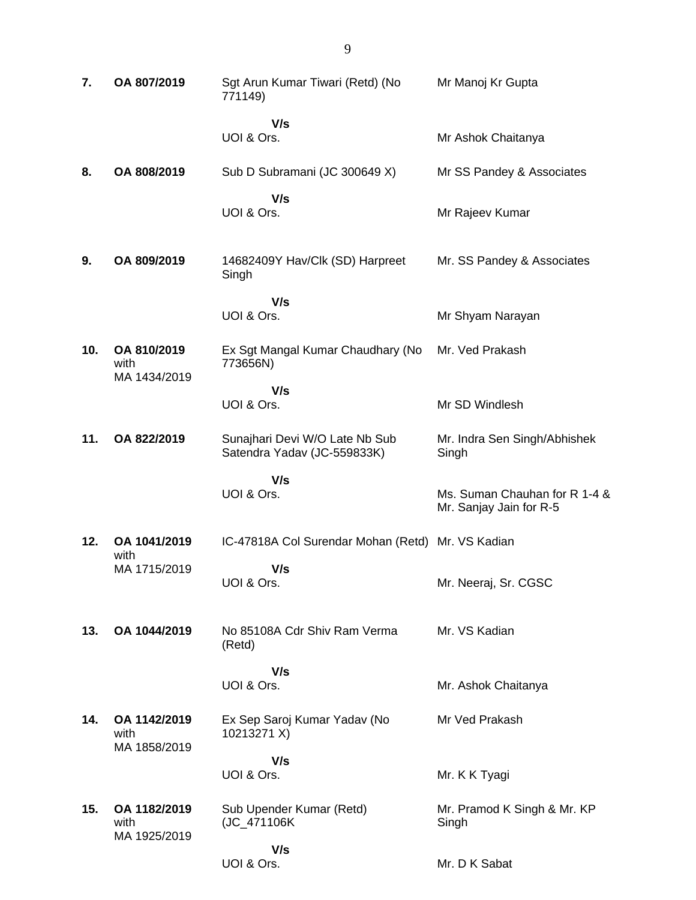| 7.  | OA 807/2019                          | Sgt Arun Kumar Tiwari (Retd) (No<br>771149)                   | Mr Manoj Kr Gupta                                        |
|-----|--------------------------------------|---------------------------------------------------------------|----------------------------------------------------------|
|     |                                      | V/s<br>UOI & Ors.                                             | Mr Ashok Chaitanya                                       |
| 8.  | OA 808/2019                          | Sub D Subramani (JC 300649 X)                                 | Mr SS Pandey & Associates                                |
|     |                                      | V/s<br>UOI & Ors.                                             | Mr Rajeev Kumar                                          |
| 9.  | OA 809/2019                          | 14682409Y Hav/Clk (SD) Harpreet<br>Singh                      | Mr. SS Pandey & Associates                               |
|     |                                      | V/s<br>UOI & Ors.                                             | Mr Shyam Narayan                                         |
| 10. | OA 810/2019<br>with                  | Ex Sgt Mangal Kumar Chaudhary (No<br>773656N)                 | Mr. Ved Prakash                                          |
|     | MA 1434/2019                         | V/s<br>UOI & Ors.                                             | Mr SD Windlesh                                           |
| 11. | OA 822/2019                          | Sunajhari Devi W/O Late Nb Sub<br>Satendra Yadav (JC-559833K) | Mr. Indra Sen Singh/Abhishek<br>Singh                    |
|     |                                      | V/s                                                           |                                                          |
|     |                                      | UOI & Ors.                                                    | Ms. Suman Chauhan for R 1-4 &<br>Mr. Sanjay Jain for R-5 |
| 12. | OA 1041/2019                         | IC-47818A Col Surendar Mohan (Retd) Mr. VS Kadian             |                                                          |
|     | with<br>MA 1715/2019                 | V/s<br>UOI & Ors.                                             | Mr. Neeraj, Sr. CGSC                                     |
| 13. | OA 1044/2019                         | No 85108A Cdr Shiv Ram Verma<br>(Retd)                        | Mr. VS Kadian                                            |
|     |                                      | V/s                                                           |                                                          |
|     |                                      | UOI & Ors.                                                    | Mr. Ashok Chaitanya                                      |
| 14. | OA 1142/2019<br>with<br>MA 1858/2019 | Ex Sep Saroj Kumar Yadav (No<br>10213271 X)                   | Mr Ved Prakash                                           |
|     |                                      | V/s<br>UOI & Ors.                                             | Mr. K K Tyagi                                            |
| 15. | OA 1182/2019<br>with<br>MA 1925/2019 | Sub Upender Kumar (Retd)<br>(JC_471106K                       | Mr. Pramod K Singh & Mr. KP<br>Singh                     |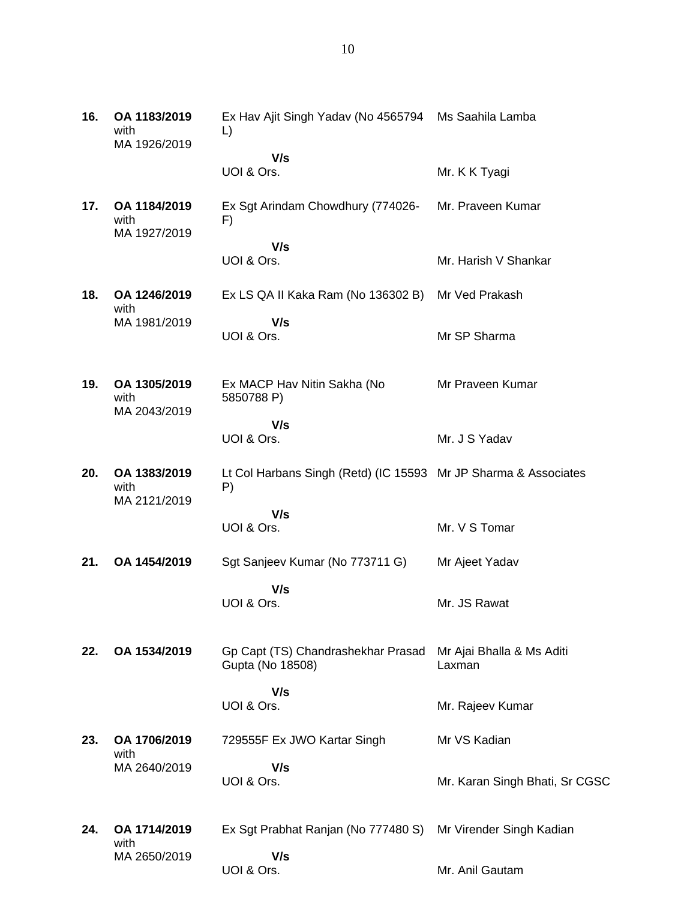| 16. | OA 1183/2019<br>with<br>MA 1926/2019 | Ex Hav Ajit Singh Yadav (No 4565794 Ms Saahila Lamba<br>L)            |                                     |
|-----|--------------------------------------|-----------------------------------------------------------------------|-------------------------------------|
|     |                                      | V/s<br>UOI & Ors.                                                     | Mr. K K Tyagi                       |
| 17. | OA 1184/2019<br>with<br>MA 1927/2019 | Ex Sgt Arindam Chowdhury (774026-<br>F)                               | Mr. Praveen Kumar                   |
|     |                                      | V/s<br>UOI & Ors.                                                     | Mr. Harish V Shankar                |
| 18. | OA 1246/2019<br>with                 | Ex LS QA II Kaka Ram (No 136302 B)                                    | Mr Ved Prakash                      |
|     | MA 1981/2019                         | V/s<br>UOI & Ors.                                                     | Mr SP Sharma                        |
| 19. | OA 1305/2019<br>with<br>MA 2043/2019 | Ex MACP Hav Nitin Sakha (No<br>5850788 P)                             | Mr Praveen Kumar                    |
|     |                                      | V/s<br>UOI & Ors.                                                     | Mr. J S Yadav                       |
| 20. | OA 1383/2019<br>with<br>MA 2121/2019 | Lt Col Harbans Singh (Retd) (IC 15593 Mr JP Sharma & Associates<br>P) |                                     |
|     |                                      | V/s<br>UOI & Ors.                                                     | Mr. V S Tomar                       |
| 21. | OA 1454/2019                         | Sgt Sanjeev Kumar (No 773711 G)                                       | Mr Ajeet Yadav                      |
|     |                                      | V/s<br>UOI & Ors.                                                     | Mr. JS Rawat                        |
| 22. | OA 1534/2019                         | Gp Capt (TS) Chandrashekhar Prasad<br>Gupta (No 18508)                | Mr Ajai Bhalla & Ms Aditi<br>Laxman |
|     |                                      | V/s<br>UOI & Ors.                                                     | Mr. Rajeev Kumar                    |
| 23. | OA 1706/2019                         | 729555F Ex JWO Kartar Singh                                           | Mr VS Kadian                        |
|     | with<br>MA 2640/2019                 | V/s<br>UOI & Ors.                                                     | Mr. Karan Singh Bhati, Sr CGSC      |

**24. OA 1714/2019** with MA 2650/2019 Ex Sgt Prabhat Ranjan (No 777480 S) Mr Virender Singh Kadian  **V/s** UOI & Ors. Mr. Anil Gautam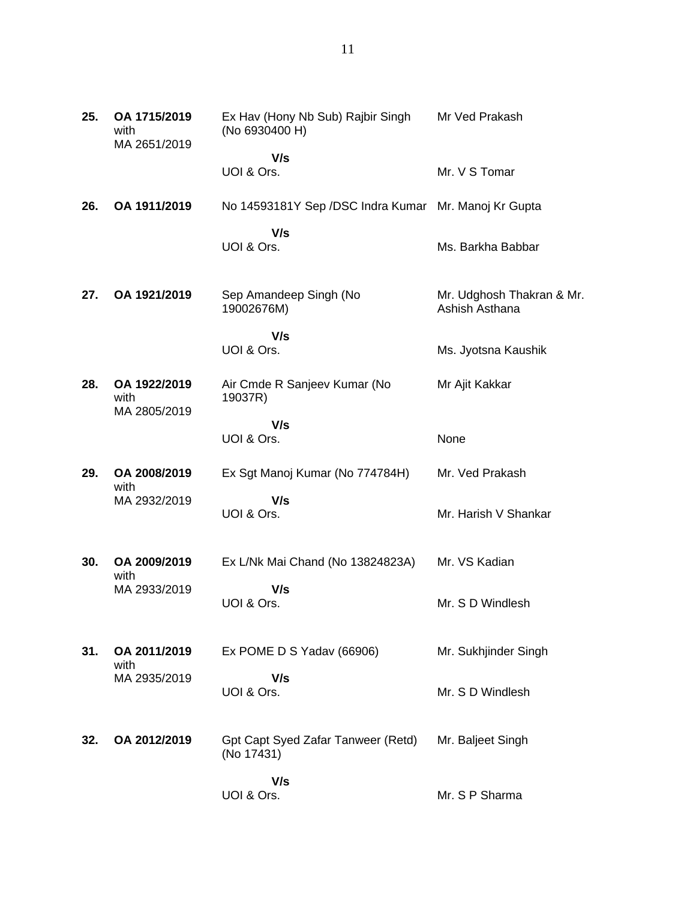| 25. | OA 1715/2019<br>with<br>MA 2651/2019 | Ex Hav (Hony Nb Sub) Rajbir Singh<br>(No 6930400 H)  | Mr Ved Prakash                              |
|-----|--------------------------------------|------------------------------------------------------|---------------------------------------------|
|     |                                      | V/s                                                  |                                             |
|     |                                      | UOI & Ors.                                           | Mr. V S Tomar                               |
| 26. | OA 1911/2019                         | No 14593181Y Sep /DSC Indra Kumar Mr. Manoj Kr Gupta |                                             |
|     |                                      | V/s                                                  |                                             |
|     |                                      | UOI & Ors.                                           | Ms. Barkha Babbar                           |
| 27. | OA 1921/2019                         | Sep Amandeep Singh (No<br>19002676M)                 | Mr. Udghosh Thakran & Mr.<br>Ashish Asthana |
|     |                                      | V/s                                                  |                                             |
|     |                                      | UOI & Ors.                                           | Ms. Jyotsna Kaushik                         |
| 28. | OA 1922/2019<br>with<br>MA 2805/2019 | Air Cmde R Sanjeev Kumar (No<br>19037R)              | Mr Ajit Kakkar                              |
|     |                                      | V/s                                                  |                                             |
|     |                                      | UOI & Ors.                                           | None                                        |
| 29. | OA 2008/2019<br>with                 | Ex Sgt Manoj Kumar (No 774784H)                      | Mr. Ved Prakash                             |
|     | MA 2932/2019                         | V/s                                                  |                                             |
|     |                                      | UOI & Ors.                                           | Mr. Harish V Shankar                        |
| 30. | OA 2009/2019                         | Ex L/Nk Mai Chand (No 13824823A)                     | Mr. VS Kadian                               |
|     | with                                 |                                                      |                                             |
|     | MA 2933/2019                         | V/s<br>UOI & Ors.                                    | Mr. S D Windlesh                            |
| 31. | OA 2011/2019                         | Ex POME D S Yadav (66906)                            | Mr. Sukhjinder Singh                        |
|     | with                                 |                                                      |                                             |
|     | MA 2935/2019                         | V/s<br>UOI & Ors.                                    | Mr. S D Windlesh                            |
|     |                                      |                                                      |                                             |
| 32. | OA 2012/2019                         | Gpt Capt Syed Zafar Tanweer (Retd)<br>(No 17431)     | Mr. Baljeet Singh                           |
|     |                                      |                                                      |                                             |
|     |                                      | V/s<br>UOI & Ors.                                    | Mr. S P Sharma                              |